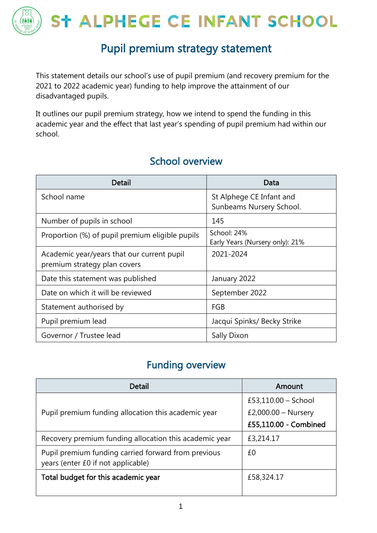

### Pupil premium strategy statement

This statement details our school's use of pupil premium (and recovery premium for the 2021 to 2022 academic year) funding to help improve the attainment of our disadvantaged pupils.

It outlines our pupil premium strategy, how we intend to spend the funding in this academic year and the effect that last year's spending of pupil premium had within our school.

| Detail                                                                     | Data                                                 |
|----------------------------------------------------------------------------|------------------------------------------------------|
| School name                                                                | St Alphege CE Infant and<br>Sunbeams Nursery School. |
| Number of pupils in school                                                 | 145                                                  |
| Proportion (%) of pupil premium eligible pupils                            | School: 24%<br>Early Years (Nursery only): 21%       |
| Academic year/years that our current pupil<br>premium strategy plan covers | 2021-2024                                            |
| Date this statement was published                                          | January 2022                                         |
| Date on which it will be reviewed                                          | September 2022                                       |
| Statement authorised by                                                    | <b>FGB</b>                                           |
| Pupil premium lead                                                         | Jacqui Spinks/ Becky Strike                          |
| Governor / Trustee lead                                                    | Sally Dixon                                          |

#### School overview

### Funding overview

| Detail                                                                                    | Amount                |  |
|-------------------------------------------------------------------------------------------|-----------------------|--|
|                                                                                           | £53,110.00 - School   |  |
| Pupil premium funding allocation this academic year                                       | £2,000.00 - Nursery   |  |
|                                                                                           | £55,110.00 - Combined |  |
| Recovery premium funding allocation this academic year                                    | £3,214.17             |  |
| Pupil premium funding carried forward from previous<br>years (enter £0 if not applicable) | £0                    |  |
| Total budget for this academic year                                                       | £58,324.17            |  |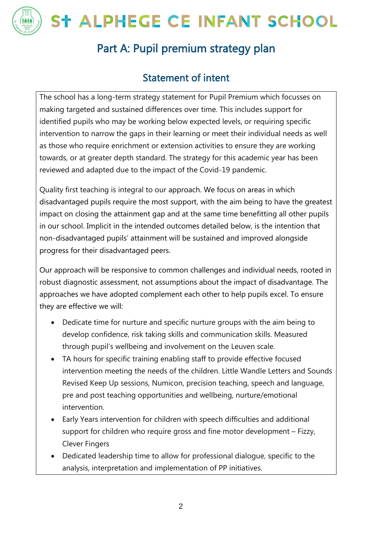

### Part A: Pupil premium strategy plan

### Statement of intent

The school has a long-term strategy statement for Pupil Premium which focusses on making targeted and sustained differences over time. This includes support for identified pupils who may be working below expected levels, or requiring specific intervention to narrow the gaps in their learning or meet their individual needs as well as those who require enrichment or extension activities to ensure they are working towards, or at greater depth standard. The strategy for this academic year has been reviewed and adapted due to the impact of the Covid-19 pandemic.

Quality first teaching is integral to our approach. We focus on areas in which disadvantaged pupils require the most support, with the aim being to have the greatest impact on closing the attainment gap and at the same time benefitting all other pupils in our school. Implicit in the intended outcomes detailed below, is the intention that non-disadvantaged pupils' attainment will be sustained and improved alongside progress for their disadvantaged peers.

Our approach will be responsive to common challenges and individual needs, rooted in robust diagnostic assessment, not assumptions about the impact of disadvantage. The approaches we have adopted complement each other to help pupils excel. To ensure they are effective we will:

- Dedicate time for nurture and specific nurture groups with the aim being to develop confidence, risk taking skills and communication skills. Measured through pupil's wellbeing and involvement on the Leuven scale.
- TA hours for specific training enabling staff to provide effective focused intervention meeting the needs of the children. Little Wandle Letters and Sounds Revised Keep Up sessions, Numicon, precision teaching, speech and language, pre and post teaching opportunities and wellbeing, nurture/emotional intervention.
- Early Years intervention for children with speech difficulties and additional support for children who require gross and fine motor development – Fizzy, Clever Fingers
- Dedicated leadership time to allow for professional dialogue, specific to the analysis, interpretation and implementation of PP initiatives.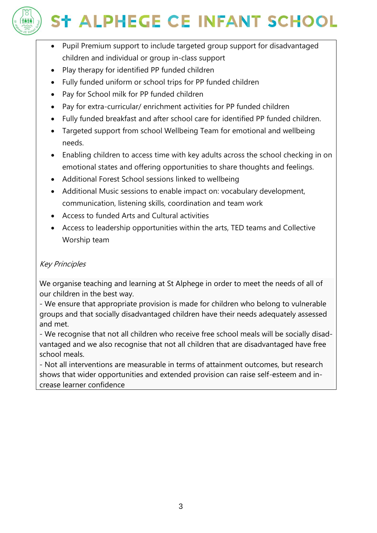

- Pupil Premium support to include targeted group support for disadvantaged children and individual or group in-class support
- Play therapy for identified PP funded children
- Fully funded uniform or school trips for PP funded children
- Pay for School milk for PP funded children
- Pay for extra-curricular/ enrichment activities for PP funded children
- Fully funded breakfast and after school care for identified PP funded children.
- Targeted support from school Wellbeing Team for emotional and wellbeing needs.
- Enabling children to access time with key adults across the school checking in on emotional states and offering opportunities to share thoughts and feelings.
- Additional Forest School sessions linked to wellbeing
- Additional Music sessions to enable impact on: vocabulary development, communication, listening skills, coordination and team work
- Access to funded Arts and Cultural activities
- Access to leadership opportunities within the arts, TED teams and Collective Worship team

#### Key Principles

We organise teaching and learning at St Alphege in order to meet the needs of all of our children in the best way.

- We ensure that appropriate provision is made for children who belong to vulnerable groups and that socially disadvantaged children have their needs adequately assessed and met.

- We recognise that not all children who receive free school meals will be socially disadvantaged and we also recognise that not all children that are disadvantaged have free school meals.

- Not all interventions are measurable in terms of attainment outcomes, but research shows that wider opportunities and extended provision can raise self-esteem and increase learner confidence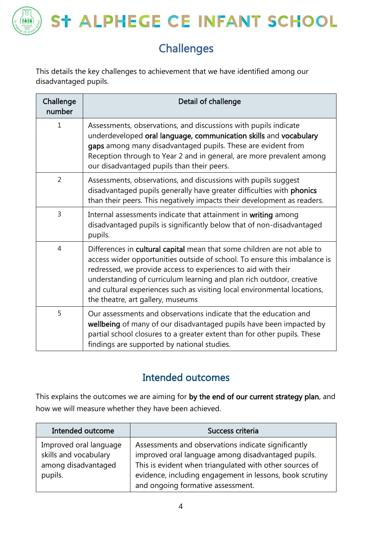

### **Challenges**

This details the key challenges to achievement that we have identified among our disadvantaged pupils.

| Challenge<br>number | Detail of challenge                                                                                                                                                                                                                                                                                                                                                                                            |
|---------------------|----------------------------------------------------------------------------------------------------------------------------------------------------------------------------------------------------------------------------------------------------------------------------------------------------------------------------------------------------------------------------------------------------------------|
| 1                   | Assessments, observations, and discussions with pupils indicate<br>underdeveloped oral language, communication skills and vocabulary<br>gaps among many disadvantaged pupils. These are evident from<br>Reception through to Year 2 and in general, are more prevalent among<br>our disadvantaged pupils than their peers.                                                                                     |
| $\overline{2}$      | Assessments, observations, and discussions with pupils suggest<br>disadvantaged pupils generally have greater difficulties with phonics<br>than their peers. This negatively impacts their development as readers.                                                                                                                                                                                             |
| 3                   | Internal assessments indicate that attainment in writing among<br>disadvantaged pupils is significantly below that of non-disadvantaged<br>pupils.                                                                                                                                                                                                                                                             |
| $\overline{4}$      | Differences in cultural capital mean that some children are not able to<br>access wider opportunities outside of school. To ensure this imbalance is<br>redressed, we provide access to experiences to aid with their<br>understanding of curriculum learning and plan rich outdoor, creative<br>and cultural experiences such as visiting local environmental locations,<br>the theatre, art gallery, museums |
| 5                   | Our assessments and observations indicate that the education and<br>wellbeing of many of our disadvantaged pupils have been impacted by<br>partial school closures to a greater extent than for other pupils. These<br>findings are supported by national studies.                                                                                                                                             |

### Intended outcomes

This explains the outcomes we are aiming for by the end of our current strategy plan, and how we will measure whether they have been achieved.

| Intended outcome                                                                  | Success criteria                                                                                                                                                                                                                                                      |
|-----------------------------------------------------------------------------------|-----------------------------------------------------------------------------------------------------------------------------------------------------------------------------------------------------------------------------------------------------------------------|
| Improved oral language<br>skills and vocabulary<br>among disadvantaged<br>pupils. | Assessments and observations indicate significantly<br>improved oral language among disadvantaged pupils.<br>This is evident when triangulated with other sources of<br>evidence, including engagement in lessons, book scrutiny<br>and ongoing formative assessment. |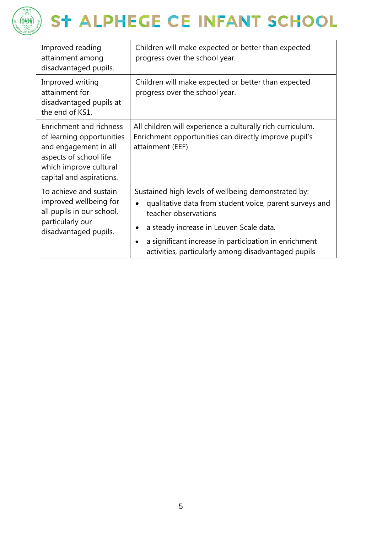

| Improved reading<br>attainment among<br>disadvantaged pupils.                                                                                                        | Children will make expected or better than expected<br>progress over the school year.                                                                                                                                                                                                             |
|----------------------------------------------------------------------------------------------------------------------------------------------------------------------|---------------------------------------------------------------------------------------------------------------------------------------------------------------------------------------------------------------------------------------------------------------------------------------------------|
| Improved writing<br>attainment for<br>disadvantaged pupils at<br>the end of KS1.                                                                                     | Children will make expected or better than expected<br>progress over the school year.                                                                                                                                                                                                             |
| <b>Enrichment and richness</b><br>of learning opportunities<br>and engagement in all<br>aspects of school life<br>which improve cultural<br>capital and aspirations. | All children will experience a culturally rich curriculum.<br>Enrichment opportunities can directly improve pupil's<br>attainment (EEF)                                                                                                                                                           |
| To achieve and sustain<br>improved wellbeing for<br>all pupils in our school,<br>particularly our<br>disadvantaged pupils.                                           | Sustained high levels of wellbeing demonstrated by:<br>qualitative data from student voice, parent surveys and<br>teacher observations<br>a steady increase in Leuven Scale data.<br>a significant increase in participation in enrichment<br>activities, particularly among disadvantaged pupils |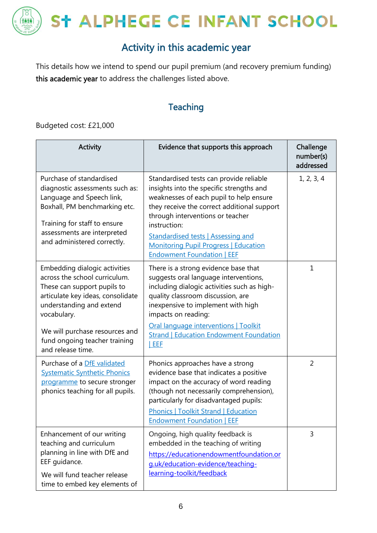

### Activity in this academic year

This details how we intend to spend our pupil premium (and recovery premium funding) this academic year to address the challenges listed above.

#### **Teaching**

Budgeted cost: £21,000

| <b>Activity</b>                                                                                                                                                                                                                                                       | Evidence that supports this approach                                                                                                                                                                                                                                                                                                                                | Challenge<br>number(s)<br>addressed |
|-----------------------------------------------------------------------------------------------------------------------------------------------------------------------------------------------------------------------------------------------------------------------|---------------------------------------------------------------------------------------------------------------------------------------------------------------------------------------------------------------------------------------------------------------------------------------------------------------------------------------------------------------------|-------------------------------------|
| Purchase of standardised<br>diagnostic assessments such as:<br>Language and Speech link,<br>Boxhall, PM benchmarking etc.<br>Training for staff to ensure<br>assessments are interpreted<br>and administered correctly.                                               | Standardised tests can provide reliable<br>insights into the specific strengths and<br>weaknesses of each pupil to help ensure<br>they receive the correct additional support<br>through interventions or teacher<br>instruction:<br><b>Standardised tests   Assessing and</b><br><b>Monitoring Pupil Progress   Education</b><br><b>Endowment Foundation   EEF</b> | 1, 2, 3, 4                          |
| Embedding dialogic activities<br>across the school curriculum.<br>These can support pupils to<br>articulate key ideas, consolidate<br>understanding and extend<br>vocabulary.<br>We will purchase resources and<br>fund ongoing teacher training<br>and release time. | There is a strong evidence base that<br>suggests oral language interventions,<br>including dialogic activities such as high-<br>quality classroom discussion, are<br>inexpensive to implement with high<br>impacts on reading:<br>Oral language interventions   Toolkit<br><b>Strand   Education Endowment Foundation</b><br>EEF                                    | $\mathbf{1}$                        |
| Purchase of a DfE validated<br><b>Systematic Synthetic Phonics</b><br>programme to secure stronger<br>phonics teaching for all pupils.                                                                                                                                | Phonics approaches have a strong<br>evidence base that indicates a positive<br>impact on the accuracy of word reading<br>(though not necessarily comprehension),<br>particularly for disadvantaged pupils:<br><b>Phonics   Toolkit Strand   Education</b><br><b>Endowment Foundation   EEF</b>                                                                      | $\overline{2}$                      |
| Enhancement of our writing<br>teaching and curriculum<br>planning in line with DfE and<br>EEF quidance.<br>We will fund teacher release<br>time to embed key elements of                                                                                              | Ongoing, high quality feedback is<br>embedded in the teaching of writing<br>https://educationendowmentfoundation.or<br>g.uk/education-evidence/teaching-<br>learning-toolkit/feedback                                                                                                                                                                               | 3                                   |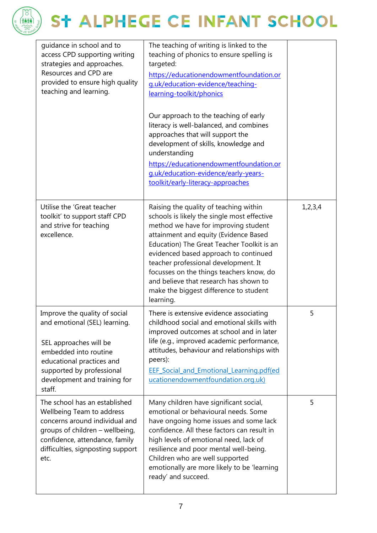

| guidance in school and to<br>access CPD supporting writing<br>strategies and approaches.<br>Resources and CPD are<br>provided to ensure high quality<br>teaching and learning.                                        | The teaching of writing is linked to the<br>teaching of phonics to ensure spelling is<br>targeted:<br>https://educationendowmentfoundation.or<br>g.uk/education-evidence/teaching-<br>learning-toolkit/phonics<br>Our approach to the teaching of early<br>literacy is well-balanced, and combines<br>approaches that will support the<br>development of skills, knowledge and<br>understanding<br>https://educationendowmentfoundation.or<br>g.uk/education-evidence/early-years-<br>toolkit/early-literacy-approaches |         |
|-----------------------------------------------------------------------------------------------------------------------------------------------------------------------------------------------------------------------|-------------------------------------------------------------------------------------------------------------------------------------------------------------------------------------------------------------------------------------------------------------------------------------------------------------------------------------------------------------------------------------------------------------------------------------------------------------------------------------------------------------------------|---------|
| Utilise the 'Great teacher<br>toolkit' to support staff CPD<br>and strive for teaching<br>excellence.                                                                                                                 | Raising the quality of teaching within<br>schools is likely the single most effective<br>method we have for improving student<br>attainment and equity (Evidence Based<br>Education) The Great Teacher Toolkit is an<br>evidenced based approach to continued<br>teacher professional development. It<br>focusses on the things teachers know, do<br>and believe that research has shown to<br>make the biggest difference to student<br>learning.                                                                      | 1,2,3,4 |
| Improve the quality of social<br>and emotional (SEL) learning.<br>SEL approaches will be<br>embedded into routine<br>educational practices and<br>supported by professional<br>development and training for<br>staff. | There is extensive evidence associating<br>childhood social and emotional skills with<br>improved outcomes at school and in later<br>life (e.g., improved academic performance,<br>attitudes, behaviour and relationships with<br>peers):<br><b>EEF Social and Emotional Learning.pdf(ed</b><br>ucationendowmentfoundation.org.uk)                                                                                                                                                                                      | 5       |
| The school has an established<br>Wellbeing Team to address<br>concerns around individual and<br>groups of children - wellbeing,<br>confidence, attendance, family<br>difficulties, signposting support<br>etc.        | Many children have significant social,<br>emotional or behavioural needs. Some<br>have ongoing home issues and some lack<br>confidence. All these factors can result in<br>high levels of emotional need, lack of<br>resilience and poor mental well-being.<br>Children who are well supported<br>emotionally are more likely to be 'learning<br>ready' and succeed.                                                                                                                                                    | 5       |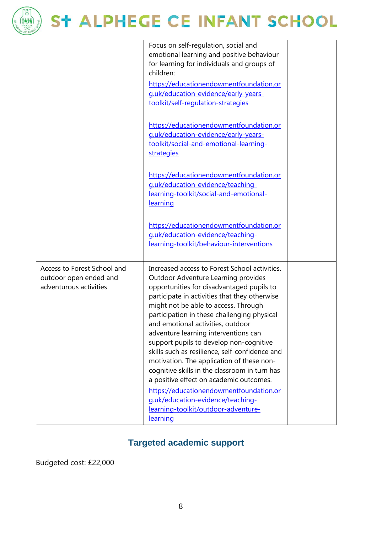

|                                                                                 | Focus on self-regulation, social and<br>emotional learning and positive behaviour<br>for learning for individuals and groups of<br>children:<br>https://educationendowmentfoundation.or<br>g.uk/education-evidence/early-years-<br>toolkit/self-regulation-strategies                                                                                                                                                                                                                                                                                                                                                                                                                                                           |  |
|---------------------------------------------------------------------------------|---------------------------------------------------------------------------------------------------------------------------------------------------------------------------------------------------------------------------------------------------------------------------------------------------------------------------------------------------------------------------------------------------------------------------------------------------------------------------------------------------------------------------------------------------------------------------------------------------------------------------------------------------------------------------------------------------------------------------------|--|
|                                                                                 | https://educationendowmentfoundation.or<br>g.uk/education-evidence/early-years-<br>toolkit/social-and-emotional-learning-<br>strategies                                                                                                                                                                                                                                                                                                                                                                                                                                                                                                                                                                                         |  |
|                                                                                 | https://educationendowmentfoundation.or<br>g.uk/education-evidence/teaching-<br>learning-toolkit/social-and-emotional-<br>learning                                                                                                                                                                                                                                                                                                                                                                                                                                                                                                                                                                                              |  |
|                                                                                 | https://educationendowmentfoundation.or<br>g.uk/education-evidence/teaching-<br>learning-toolkit/behaviour-interventions                                                                                                                                                                                                                                                                                                                                                                                                                                                                                                                                                                                                        |  |
| Access to Forest School and<br>outdoor open ended and<br>adventurous activities | Increased access to Forest School activities.<br>Outdoor Adventure Learning provides<br>opportunities for disadvantaged pupils to<br>participate in activities that they otherwise<br>might not be able to access. Through<br>participation in these challenging physical<br>and emotional activities, outdoor<br>adventure learning interventions can<br>support pupils to develop non-cognitive<br>skills such as resilience, self-confidence and<br>motivation. The application of these non-<br>cognitive skills in the classroom in turn has<br>a positive effect on academic outcomes.<br>https://educationendowmentfoundation.or<br>g.uk/education-evidence/teaching-<br>learning-toolkit/outdoor-adventure-<br>learning |  |

#### **Targeted academic support**

Budgeted cost: £22,000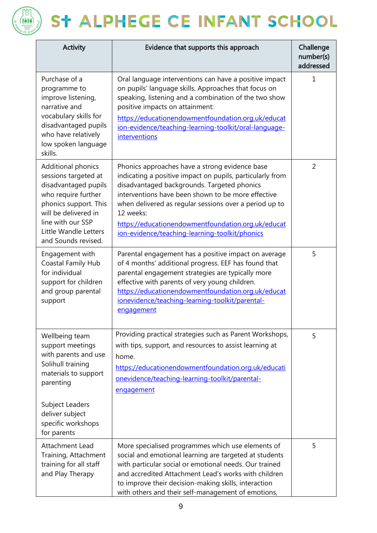

| <b>Activity</b>                                                                                                                                                                                                 | Evidence that supports this approach                                                                                                                                                                                                                                                                                                                                                            | Challenge<br>number(s)<br>addressed |
|-----------------------------------------------------------------------------------------------------------------------------------------------------------------------------------------------------------------|-------------------------------------------------------------------------------------------------------------------------------------------------------------------------------------------------------------------------------------------------------------------------------------------------------------------------------------------------------------------------------------------------|-------------------------------------|
| Purchase of a<br>programme to<br>improve listening,<br>narrative and<br>vocabulary skills for<br>disadvantaged pupils<br>who have relatively<br>low spoken language<br>skills.                                  | Oral language interventions can have a positive impact<br>on pupils' language skills. Approaches that focus on<br>speaking, listening and a combination of the two show<br>positive impacts on attainment:<br>https://educationendowmentfoundation.org.uk/educat<br>ion-evidence/teaching-learning-toolkit/oral-language-<br>interventions                                                      | 1                                   |
| Additional phonics<br>sessions targeted at<br>disadvantaged pupils<br>who require further<br>phonics support. This<br>will be delivered in<br>line with our SSP<br>Little Wandle Letters<br>and Sounds revised. | Phonics approaches have a strong evidence base<br>indicating a positive impact on pupils, particularly from<br>disadvantaged backgrounds. Targeted phonics<br>interventions have been shown to be more effective<br>when delivered as regular sessions over a period up to<br>12 weeks:<br>https://educationendowmentfoundation.org.uk/educat<br>ion-evidence/teaching-learning-toolkit/phonics | $\overline{2}$                      |
| Engagement with<br><b>Coastal Family Hub</b><br>for individual<br>support for children<br>and group parental<br>support                                                                                         | Parental engagement has a positive impact on average<br>of 4 months' additional progress. EEF has found that<br>parental engagement strategies are typically more<br>effective with parents of very young children.<br>https://educationendowmentfoundation.org.uk/educat<br>ionevidence/teaching-learning-toolkit/parental-<br>engagement                                                      | 5                                   |
| Wellbeing team<br>support meetings<br>with parents and use<br>Solihull training<br>materials to support<br>parenting<br>Subject Leaders<br>deliver subject<br>specific workshops<br>for parents                 | Providing practical strategies such as Parent Workshops,<br>with tips, support, and resources to assist learning at<br>home.<br>https://educationendowmentfoundation.org.uk/educati<br>onevidence/teaching-learning-toolkit/parental-<br>engagement                                                                                                                                             | 5                                   |
| <b>Attachment Lead</b><br>Training, Attachment<br>training for all staff<br>and Play Therapy                                                                                                                    | More specialised programmes which use elements of<br>social and emotional learning are targeted at students<br>with particular social or emotional needs. Our trained<br>and accredited Attachment Lead's works with children<br>to improve their decision-making skills, interaction<br>with others and their self-management of emotions,                                                     | 5                                   |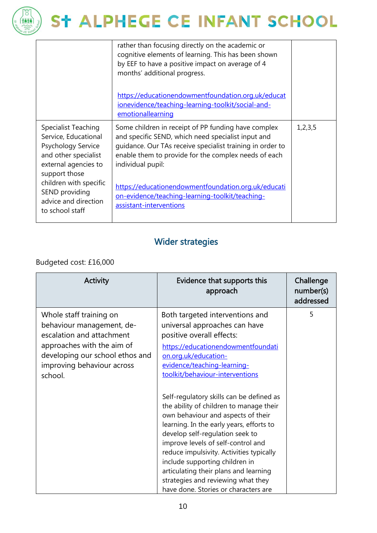

|                                                                                                                                                                                                                           | rather than focusing directly on the academic or<br>cognitive elements of learning. This has been shown<br>by EEF to have a positive impact on average of 4<br>months' additional progress.<br>https://educationendowmentfoundation.org.uk/educat<br>ionevidence/teaching-learning-toolkit/social-and-<br>emotionallearning                                                              |         |
|---------------------------------------------------------------------------------------------------------------------------------------------------------------------------------------------------------------------------|------------------------------------------------------------------------------------------------------------------------------------------------------------------------------------------------------------------------------------------------------------------------------------------------------------------------------------------------------------------------------------------|---------|
| Specialist Teaching<br>Service, Educational<br>Psychology Service<br>and other specialist<br>external agencies to<br>support those<br>children with specific<br>SEND providing<br>advice and direction<br>to school staff | Some children in receipt of PP funding have complex<br>and specific SEND, which need specialist input and<br>guidance. Our TAs receive specialist training in order to<br>enable them to provide for the complex needs of each<br>individual pupil:<br>https://educationendowmentfoundation.org.uk/educati<br>on-evidence/teaching-learning-toolkit/teaching-<br>assistant-interventions | 1,2,3,5 |

#### Wider strategies

#### Budgeted cost: £16,000

| <b>Activity</b>                                                                                                                                                                             | Evidence that supports this<br>approach                                                                                                                                                                                                                                                                                                                                                                                                             | Challenge<br>number(s)<br>addressed |
|---------------------------------------------------------------------------------------------------------------------------------------------------------------------------------------------|-----------------------------------------------------------------------------------------------------------------------------------------------------------------------------------------------------------------------------------------------------------------------------------------------------------------------------------------------------------------------------------------------------------------------------------------------------|-------------------------------------|
| Whole staff training on<br>behaviour management, de-<br>escalation and attachment<br>approaches with the aim of<br>developing our school ethos and<br>improving behaviour across<br>school. | Both targeted interventions and<br>universal approaches can have<br>positive overall effects:<br>https://educationendowmentfoundati<br>on.org.uk/education-<br>evidence/teaching-learning-<br>toolkit/behaviour-interventions                                                                                                                                                                                                                       | 5                                   |
|                                                                                                                                                                                             | Self-regulatory skills can be defined as<br>the ability of children to manage their<br>own behaviour and aspects of their<br>learning. In the early years, efforts to<br>develop self-regulation seek to<br>improve levels of self-control and<br>reduce impulsivity. Activities typically<br>include supporting children in<br>articulating their plans and learning<br>strategies and reviewing what they<br>have done. Stories or characters are |                                     |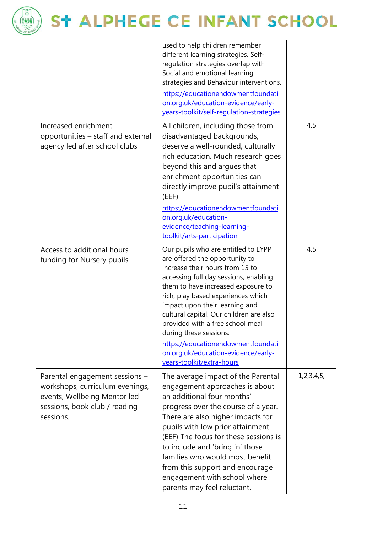

|                                                                                                                                                 | used to help children remember<br>different learning strategies. Self-<br>regulation strategies overlap with<br>Social and emotional learning<br>strategies and Behaviour interventions.<br>https://educationendowmentfoundati<br>on.org.uk/education-evidence/early-<br>years-toolkit/self-requlation-strategies                                                                                                                   |            |
|-------------------------------------------------------------------------------------------------------------------------------------------------|-------------------------------------------------------------------------------------------------------------------------------------------------------------------------------------------------------------------------------------------------------------------------------------------------------------------------------------------------------------------------------------------------------------------------------------|------------|
| Increased enrichment<br>opportunities - staff and external<br>agency led after school clubs                                                     | All children, including those from<br>disadvantaged backgrounds,<br>deserve a well-rounded, culturally<br>rich education. Much research goes<br>beyond this and argues that<br>enrichment opportunities can<br>directly improve pupil's attainment<br>(EEF)                                                                                                                                                                         | 4.5        |
|                                                                                                                                                 | https://educationendowmentfoundati<br>on.org.uk/education-<br>evidence/teaching-learning-<br>toolkit/arts-participation                                                                                                                                                                                                                                                                                                             |            |
| Access to additional hours<br>funding for Nursery pupils                                                                                        | Our pupils who are entitled to EYPP<br>are offered the opportunity to<br>increase their hours from 15 to<br>accessing full day sessions, enabling<br>them to have increased exposure to<br>rich, play based experiences which<br>impact upon their learning and<br>cultural capital. Our children are also<br>provided with a free school meal<br>during these sessions:<br>https://educationendowmentfoundati                      | 4.5        |
|                                                                                                                                                 | on.org.uk/education-evidence/early-<br>years-toolkit/extra-hours                                                                                                                                                                                                                                                                                                                                                                    |            |
| Parental engagement sessions -<br>workshops, curriculum evenings,<br>events, Wellbeing Mentor led<br>sessions, book club / reading<br>sessions. | The average impact of the Parental<br>engagement approaches is about<br>an additional four months'<br>progress over the course of a year.<br>There are also higher impacts for<br>pupils with low prior attainment<br>(EEF) The focus for these sessions is<br>to include and 'bring in' those<br>families who would most benefit<br>from this support and encourage<br>engagement with school where<br>parents may feel reluctant. | 1,2,3,4,5, |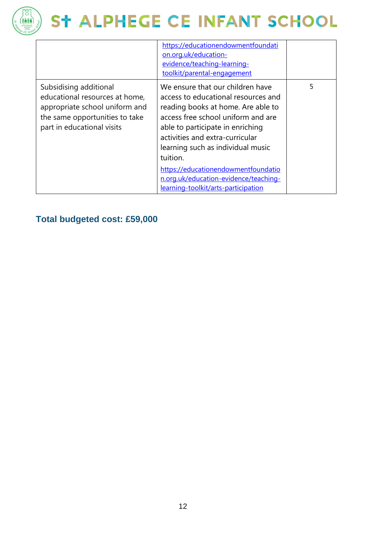

|                                                                                                                                                            | https://educationendowmentfoundati<br>on.org.uk/education-<br>evidence/teaching-learning-<br>toolkit/parental-engagement                                                                                                                                                                                                                                                                           |   |
|------------------------------------------------------------------------------------------------------------------------------------------------------------|----------------------------------------------------------------------------------------------------------------------------------------------------------------------------------------------------------------------------------------------------------------------------------------------------------------------------------------------------------------------------------------------------|---|
| Subsidising additional<br>educational resources at home,<br>appropriate school uniform and<br>the same opportunities to take<br>part in educational visits | We ensure that our children have<br>access to educational resources and<br>reading books at home. Are able to<br>access free school uniform and are<br>able to participate in enriching<br>activities and extra-curricular<br>learning such as individual music<br>tuition.<br>https://educationendowmentfoundatio<br>n.org.uk/education-evidence/teaching-<br>learning-toolkit/arts-participation | 5 |

#### **Total budgeted cost: £59,000**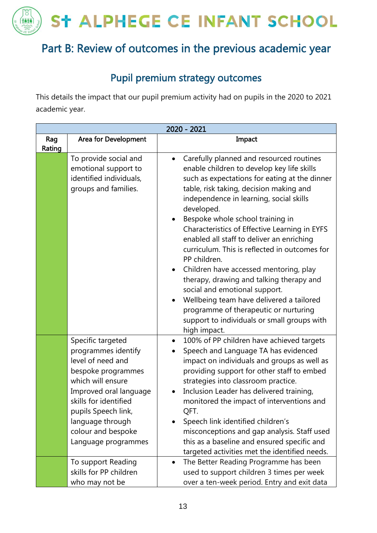PP<sub>O</sub>

稀释

### Part B: Review of outcomes in the previous academic year

#### Pupil premium strategy outcomes

This details the impact that our pupil premium activity had on pupils in the 2020 to 2021 academic year.

| 2020 - 2021   |                                                                                                                                                                                                                                                     |                                                                                                                                                                                                                                                                                                                                                                                                                                                                                                                                                                                                                                                                                                                                        |  |
|---------------|-----------------------------------------------------------------------------------------------------------------------------------------------------------------------------------------------------------------------------------------------------|----------------------------------------------------------------------------------------------------------------------------------------------------------------------------------------------------------------------------------------------------------------------------------------------------------------------------------------------------------------------------------------------------------------------------------------------------------------------------------------------------------------------------------------------------------------------------------------------------------------------------------------------------------------------------------------------------------------------------------------|--|
| Rag<br>Rating | Area for Development                                                                                                                                                                                                                                | Impact                                                                                                                                                                                                                                                                                                                                                                                                                                                                                                                                                                                                                                                                                                                                 |  |
|               | To provide social and<br>emotional support to<br>identified individuals,<br>groups and families.                                                                                                                                                    | Carefully planned and resourced routines<br>$\bullet$<br>enable children to develop key life skills<br>such as expectations for eating at the dinner<br>table, risk taking, decision making and<br>independence in learning, social skills<br>developed.<br>Bespoke whole school training in<br>Characteristics of Effective Learning in EYFS<br>enabled all staff to deliver an enriching<br>curriculum. This is reflected in outcomes for<br>PP children.<br>Children have accessed mentoring, play<br>therapy, drawing and talking therapy and<br>social and emotional support.<br>Wellbeing team have delivered a tailored<br>programme of therapeutic or nurturing<br>support to individuals or small groups with<br>high impact. |  |
|               | Specific targeted<br>programmes identify<br>level of need and<br>bespoke programmes<br>which will ensure<br>Improved oral language<br>skills for identified<br>pupils Speech link,<br>language through<br>colour and bespoke<br>Language programmes | 100% of PP children have achieved targets<br>$\bullet$<br>Speech and Language TA has evidenced<br>impact on individuals and groups as well as<br>providing support for other staff to embed<br>strategies into classroom practice.<br>Inclusion Leader has delivered training,<br>monitored the impact of interventions and<br>QFT.<br>Speech link identified children's<br>misconceptions and gap analysis. Staff used<br>this as a baseline and ensured specific and<br>targeted activities met the identified needs.                                                                                                                                                                                                                |  |
|               | To support Reading<br>skills for PP children<br>who may not be                                                                                                                                                                                      | The Better Reading Programme has been<br>$\bullet$<br>used to support children 3 times per week<br>over a ten-week period. Entry and exit data                                                                                                                                                                                                                                                                                                                                                                                                                                                                                                                                                                                         |  |